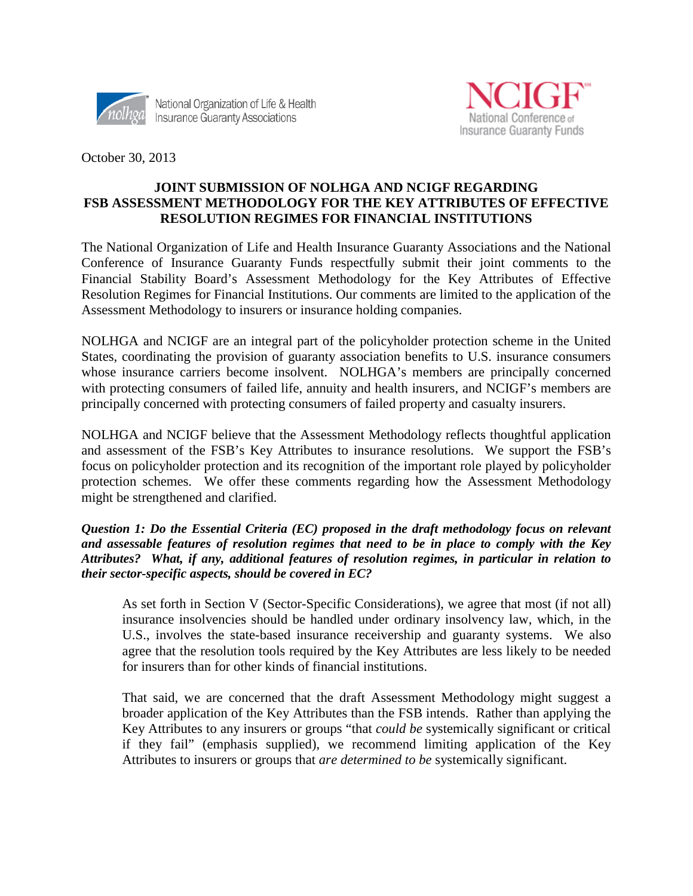



October 30, 2013

### **JOINT SUBMISSION OF NOLHGA AND NCIGF REGARDING FSB ASSESSMENT METHODOLOGY FOR THE KEY ATTRIBUTES OF EFFECTIVE RESOLUTION REGIMES FOR FINANCIAL INSTITUTIONS**

The National Organization of Life and Health Insurance Guaranty Associations and the National Conference of Insurance Guaranty Funds respectfully submit their joint comments to the Financial Stability Board's Assessment Methodology for the Key Attributes of Effective Resolution Regimes for Financial Institutions. Our comments are limited to the application of the Assessment Methodology to insurers or insurance holding companies.

NOLHGA and NCIGF are an integral part of the policyholder protection scheme in the United States, coordinating the provision of guaranty association benefits to U.S. insurance consumers whose insurance carriers become insolvent. NOLHGA's members are principally concerned with protecting consumers of failed life, annuity and health insurers, and NCIGF's members are principally concerned with protecting consumers of failed property and casualty insurers.

NOLHGA and NCIGF believe that the Assessment Methodology reflects thoughtful application and assessment of the FSB's Key Attributes to insurance resolutions. We support the FSB's focus on policyholder protection and its recognition of the important role played by policyholder protection schemes. We offer these comments regarding how the Assessment Methodology might be strengthened and clarified.

*Question 1: Do the Essential Criteria (EC) proposed in the draft methodology focus on relevant and assessable features of resolution regimes that need to be in place to comply with the Key Attributes? What, if any, additional features of resolution regimes, in particular in relation to their sector-specific aspects, should be covered in EC?*

As set forth in Section V (Sector-Specific Considerations), we agree that most (if not all) insurance insolvencies should be handled under ordinary insolvency law, which, in the U.S., involves the state-based insurance receivership and guaranty systems. We also agree that the resolution tools required by the Key Attributes are less likely to be needed for insurers than for other kinds of financial institutions.

That said, we are concerned that the draft Assessment Methodology might suggest a broader application of the Key Attributes than the FSB intends. Rather than applying the Key Attributes to any insurers or groups "that *could be* systemically significant or critical if they fail" (emphasis supplied), we recommend limiting application of the Key Attributes to insurers or groups that *are determined to be* systemically significant.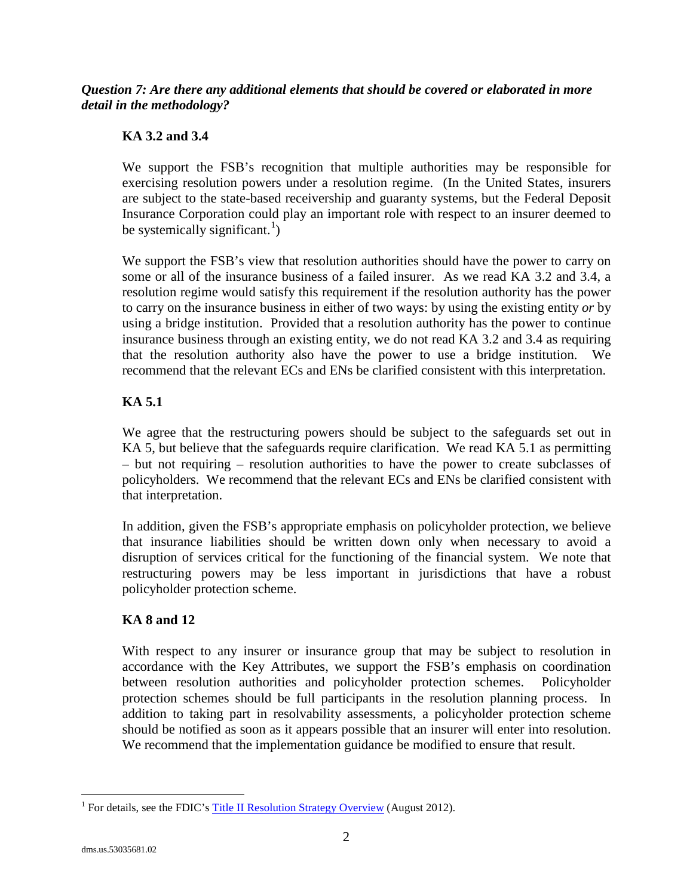### *Question 7: Are there any additional elements that should be covered or elaborated in more detail in the methodology?*

# **KA 3.2 and 3.4**

We support the FSB's recognition that multiple authorities may be responsible for exercising resolution powers under a resolution regime. (In the United States, insurers are subject to the state-based receivership and guaranty systems, but the Federal Deposit Insurance Corporation could play an important role with respect to an insurer deemed to be systemically significant.<sup>[1](#page-1-0)</sup>)

We support the FSB's view that resolution authorities should have the power to carry on some or all of the insurance business of a failed insurer. As we read KA 3.2 and 3.4, a resolution regime would satisfy this requirement if the resolution authority has the power to carry on the insurance business in either of two ways: by using the existing entity *or* by using a bridge institution. Provided that a resolution authority has the power to continue insurance business through an existing entity, we do not read KA 3.2 and 3.4 as requiring that the resolution authority also have the power to use a bridge institution. We recommend that the relevant ECs and ENs be clarified consistent with this interpretation.

## **KA 5.1**

We agree that the restructuring powers should be subject to the safeguards set out in KA 5, but believe that the safeguards require clarification. We read KA 5.1 as permitting – but not requiring – resolution authorities to have the power to create subclasses of policyholders. We recommend that the relevant ECs and ENs be clarified consistent with that interpretation.

In addition, given the FSB's appropriate emphasis on policyholder protection, we believe that insurance liabilities should be written down only when necessary to avoid a disruption of services critical for the functioning of the financial system. We note that restructuring powers may be less important in jurisdictions that have a robust policyholder protection scheme.

### **KA 8 and 12**

With respect to any insurer or insurance group that may be subject to resolution in accordance with the Key Attributes, we support the FSB's emphasis on coordination between resolution authorities and policyholder protection schemes. Policyholder protection schemes should be full participants in the resolution planning process. In addition to taking part in resolvability assessments, a policyholder protection scheme should be notified as soon as it appears possible that an insurer will enter into resolution. We recommend that the implementation guidance be modified to ensure that result.

<span id="page-1-0"></span><sup>&</sup>lt;sup>1</sup> For details, see the FDIC'[s Title II Resolution Strategy Overview](http://www.fdic.gov/resauthority/sifiresolution.pdf) (August 2012).